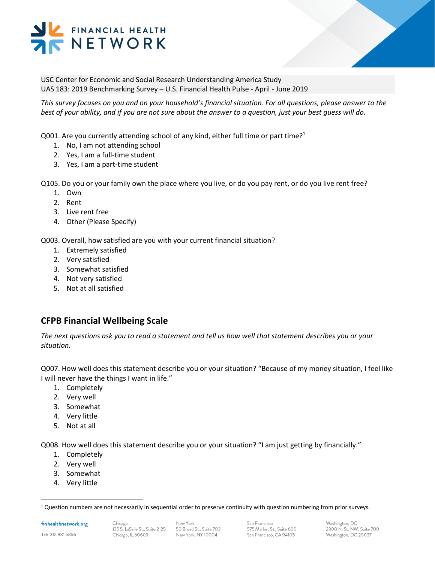# FINANCIAL HEALTH NETWORK

USC Center for Economic and Social Research Understanding America Study UAS 183: 2019 Benchmarking Survey – U.S. Financial Health Pulse - April - June 2019

*This survey focuses on you and on your household's financial situation. For all questions, please answer to the best of your ability, and if you are not sure about the answer to a question, just your best guess will do.* 

Q001. Are you currently attending school of any kind, either full time or part time?<sup>1</sup>

- 1. No, I am not attending school
- 2. Yes, I am a full-time student
- 3. Yes, I am a part-time student

Q105. Do you or your family own the place where you live, or do you pay rent, or do you live rent free?

- 1. Own
- 2. Rent
- 3. Live rent free
- 4. Other (Please Specify)

Q003. Overall, how satisfied are you with your current financial situation?

- 1. Extremely satisfied
- 2. Very satisfied
- 3. Somewhat satisfied
- 4. Not very satisfied
- 5. Not at all satisfied

# **CFPB Financial Wellbeing Scale**

*The next questions ask you to read a statement and tell us how well that statement describes you or your situation.*

Q007. How well does this statement describe you or your situation? "Because of my money situation, I feel like I will never have the things I want in life."

- 1. Completely
- 2. Very well
- 3. Somewhat
- 4. Very little
- 5. Not at all

Q008. How well does this statement describe you or your situation? "I am just getting by financially."

- 1. Completely
- 2. Very well
- 3. Somewhat
- 4. Very little

finhealthnetwork.org

 $1$  Question numbers are not necessarily in sequential order to preserve continuity with question numbering from prior surveys.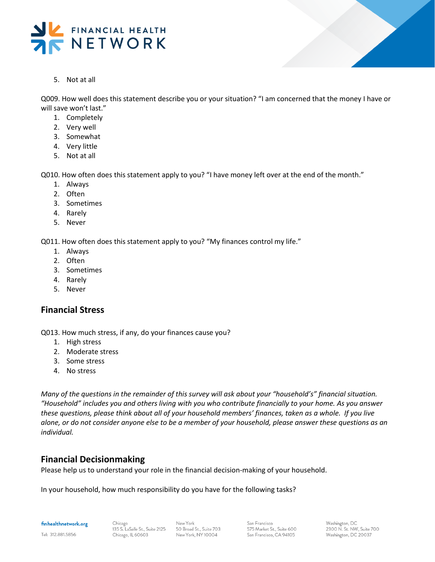



5. Not at all

Q009. How well does this statement describe you or your situation? "I am concerned that the money I have or will save won't last."

- 1. Completely
- 2. Very well
- 3. Somewhat
- 4. Very little
- 5. Not at all

Q010. How often does this statement apply to you? "I have money left over at the end of the month."

- 1. Always
- 2. Often
- 3. Sometimes
- 4. Rarely
- 5. Never

Q011. How often does this statement apply to you? "My finances control my life."

- 1. Always
- 2. Often
- 3. Sometimes
- 4. Rarely
- 5. Never

## **Financial Stress**

Q013. How much stress, if any, do your finances cause you?

- 1. High stress
- 2. Moderate stress
- 3. Some stress
- 4. No stress

*Many of the questions in the remainder of this survey will ask about your "household's" financial situation. "Household" includes you and others living with you who contribute financially to your home. As you answer these questions, please think about all of your household members' finances, taken as a whole. If you live alone, or do not consider anyone else to be a member of your household, please answer these questions as an individual.* 

## **Financial Decisionmaking**

Please help us to understand your role in the financial decision-making of your household.

In your household, how much responsibility do you have for the following tasks?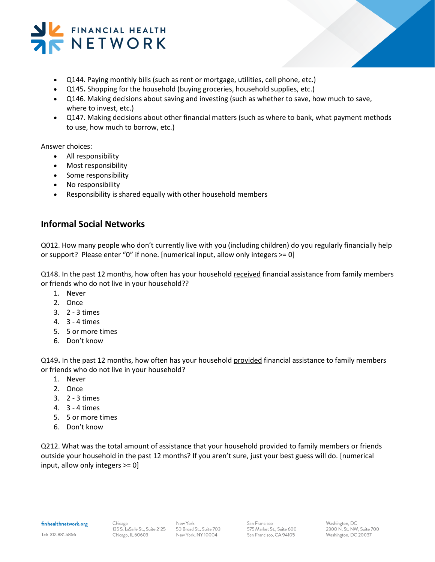

- Q144. Paying monthly bills (such as rent or mortgage, utilities, cell phone, etc.)
- Q145**.** Shopping for the household (buying groceries, household supplies, etc.)
- Q146. Making decisions about saving and investing (such as whether to save, how much to save, where to invest, etc.)
- Q147. Making decisions about other financial matters (such as where to bank, what payment methods to use, how much to borrow, etc.)

Answer choices:

- All responsibility
- Most responsibility
- Some responsibility
- No responsibility
- Responsibility is shared equally with other household members

# **Informal Social Networks**

Q012. How many people who don't currently live with you (including children) do you regularly financially help or support? Please enter "0" if none. [numerical input, allow only integers >= 0]

Q148. In the past 12 months, how often has your household received financial assistance from family members or friends who do not live in your household??

- 1. Never
- 2. Once
- 3. 2 3 times
- 4. 3 4 times
- 5. 5 or more times
- 6. Don't know

Q149**.** In the past 12 months, how often has your household provided financial assistance to family members or friends who do not live in your household?

- 1. Never
- 2. Once
- 3. 2 3 times
- 4. 3 4 times
- 5. 5 or more times
- 6. Don't know

Q212. What was the total amount of assistance that your household provided to family members or friends outside your household in the past 12 months? If you aren't sure, just your best guess will do. [numerical input, allow only integers >= 0]

#### finhealthnetwork.org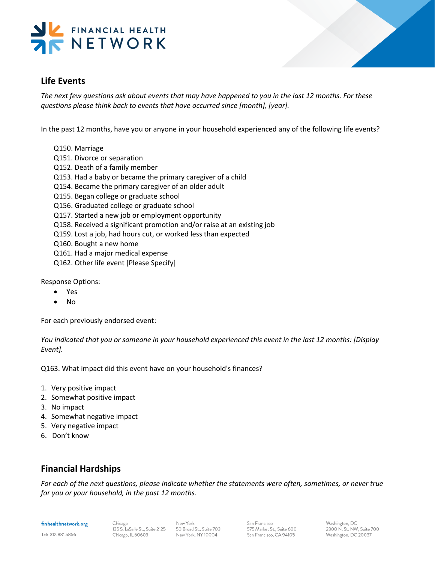

# **Life Events**

*The next few questions ask about events that may have happened to you in the last 12 months. For these questions please think back to events that have occurred since [month], [year].* 

In the past 12 months, have you or anyone in your household experienced any of the following life events?

- Q150. Marriage
- Q151. Divorce or separation
- Q152. Death of a family member
- Q153. Had a baby or became the primary caregiver of a child
- Q154. Became the primary caregiver of an older adult
- Q155. Began college or graduate school
- Q156. Graduated college or graduate school
- Q157. Started a new job or employment opportunity
- Q158. Received a significant promotion and/or raise at an existing job
- Q159. Lost a job, had hours cut, or worked less than expected
- Q160. Bought a new home
- Q161. Had a major medical expense
- Q162. Other life event [Please Specify]

Response Options:

- Yes
- No

For each previously endorsed event:

*You indicated that you or someone in your household experienced this event in the last 12 months: [Display Event].* 

Q163. What impact did this event have on your household's finances?

- 1. Very positive impact
- 2. Somewhat positive impact
- 3. No impact
- 4. Somewhat negative impact
- 5. Very negative impact
- 6. Don't know

# **Financial Hardships**

*For each of the next questions, please indicate whether the statements were often, sometimes, or never true for you or your household, in the past 12 months.*

#### finhealthnetwork.org

Tel: 312.881.5856

Washington, DC 2300 N. St. NW, Suite 700 Washington, DC 20037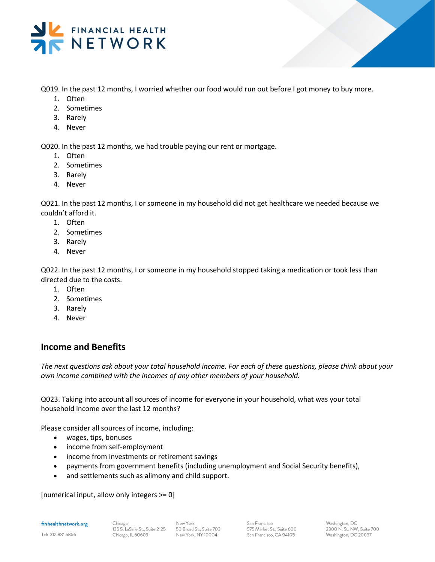

Q019. In the past 12 months, I worried whether our food would run out before I got money to buy more.

- 1. Often
- 2. Sometimes
- 3. Rarely
- 4. Never

Q020. In the past 12 months, we had trouble paying our rent or mortgage.

- 1. Often
- 2. Sometimes
- 3. Rarely
- 4. Never

Q021. In the past 12 months, I or someone in my household did not get healthcare we needed because we couldn't afford it.

- 1. Often
- 2. Sometimes
- 3. Rarely
- 4. Never

Q022. In the past 12 months, I or someone in my household stopped taking a medication or took less than directed due to the costs.

- 1. Often
- 2. Sometimes
- 3. Rarely
- 4. Never

# **Income and Benefits**

*The next questions ask about your total household income. For each of these questions, please think about your own income combined with the incomes of any other members of your household.* 

Q023. Taking into account all sources of income for everyone in your household, what was your total household income over the last 12 months?

Please consider all sources of income, including:

- wages, tips, bonuses
- income from self-employment
- income from investments or retirement savings
- payments from government benefits (including unemployment and Social Security benefits),
- and settlements such as alimony and child support.

[numerical input, allow only integers >= 0]

finhealthnetwork.org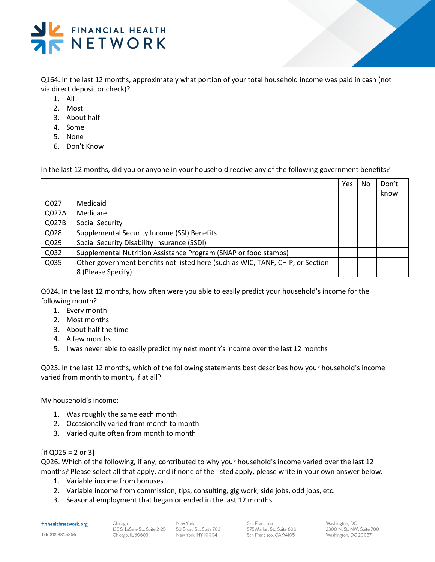

Q164. In the last 12 months, approximately what portion of your total household income was paid in cash (not via direct deposit or check)?

- 1. All
- 2. Most
- 3. About half
- 4. Some
- 5. None
- 6. Don't Know

In the last 12 months, did you or anyone in your household receive any of the following government benefits?

|       |                                                                                | Yes | <b>No</b> | Don't |
|-------|--------------------------------------------------------------------------------|-----|-----------|-------|
|       |                                                                                |     |           | know  |
| Q027  | Medicaid                                                                       |     |           |       |
| Q027A | Medicare                                                                       |     |           |       |
| Q027B | Social Security                                                                |     |           |       |
| Q028  | Supplemental Security Income (SSI) Benefits                                    |     |           |       |
| Q029  | Social Security Disability Insurance (SSDI)                                    |     |           |       |
| Q032  | Supplemental Nutrition Assistance Program (SNAP or food stamps)                |     |           |       |
| Q035  | Other government benefits not listed here (such as WIC, TANF, CHIP, or Section |     |           |       |
|       | 8 (Please Specify)                                                             |     |           |       |

Q024. In the last 12 months, how often were you able to easily predict your household's income for the following month?

- 1. Every month
- 2. Most months
- 3. About half the time
- 4. A few months
- 5. I was never able to easily predict my next month's income over the last 12 months

Q025. In the last 12 months, which of the following statements best describes how your household's income varied from month to month, if at all?

My household's income:

- 1. Was roughly the same each month
- 2. Occasionally varied from month to month
- 3. Varied quite often from month to month

## $[$ if Q025 = 2 or 3 $]$

Q026. Which of the following, if any, contributed to why your household's income varied over the last 12 months? Please select all that apply, and if none of the listed apply, please write in your own answer below.

- 1. Variable income from bonuses
- 2. Variable income from commission, tips, consulting, gig work, side jobs, odd jobs, etc.
- 3. Seasonal employment that began or ended in the last 12 months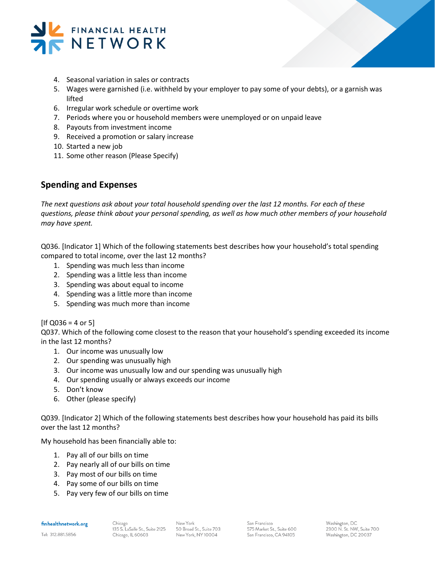

- 4. Seasonal variation in sales or contracts
- 5. Wages were garnished (i.e. withheld by your employer to pay some of your debts), or a garnish was lifted
- 6. Irregular work schedule or overtime work
- 7. Periods where you or household members were unemployed or on unpaid leave
- 8. Payouts from investment income
- 9. Received a promotion or salary increase
- 10. Started a new job
- 11. Some other reason (Please Specify)

## **Spending and Expenses**

*The next questions ask about your total household spending over the last 12 months. For each of these questions, please think about your personal spending, as well as how much other members of your household may have spent.* 

Q036. [Indicator 1] Which of the following statements best describes how your household's total spending compared to total income, over the last 12 months?

- 1. Spending was much less than income
- 2. Spending was a little less than income
- 3. Spending was about equal to income
- 4. Spending was a little more than income
- 5. Spending was much more than income

## $[If Q036 = 4 or 5]$

Q037. Which of the following come closest to the reason that your household's spending exceeded its income in the last 12 months?

- 1. Our income was unusually low
- 2. Our spending was unusually high
- 3. Our income was unusually low and our spending was unusually high
- 4. Our spending usually or always exceeds our income
- 5. Don't know
- 6. Other (please specify)

Q039. [Indicator 2] Which of the following statements best describes how your household has paid its bills over the last 12 months?

My household has been financially able to:

- 1. Pay all of our bills on time
- 2. Pay nearly all of our bills on time
- 3. Pay most of our bills on time
- 4. Pay some of our bills on time
- 5. Pay very few of our bills on time

finhealthnetwork.org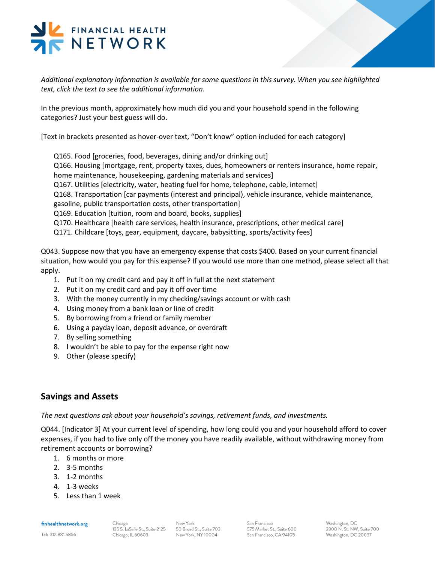# FINANCIAL HEALTH NETWORK

*Additional explanatory information is available for some questions in this survey. When you see highlighted text, click the text to see the additional information.*

In the previous month, approximately how much did you and your household spend in the following categories? Just your best guess will do.

[Text in brackets presented as hover-over text, "Don't know" option included for each category]

Q165. Food [groceries, food, beverages, dining and/or drinking out]

Q166. Housing [mortgage, rent, property taxes, dues, homeowners or renters insurance, home repair, home maintenance, housekeeping, gardening materials and services]

Q167. Utilities [electricity, water, heating fuel for home, telephone, cable, internet]

Q168. Transportation [car payments (interest and principal), vehicle insurance, vehicle maintenance, gasoline, public transportation costs, other transportation]

- Q169. Education [tuition, room and board, books, supplies]
- Q170. Healthcare [health care services, health insurance, prescriptions, other medical care]
- Q171. Childcare [toys, gear, equipment, daycare, babysitting, sports/activity fees]

Q043. Suppose now that you have an emergency expense that costs \$400. Based on your current financial situation, how would you pay for this expense? If you would use more than one method, please select all that apply.

- 1. Put it on my credit card and pay it off in full at the next statement
- 2. Put it on my credit card and pay it off over time
- 3. With the money currently in my checking/savings account or with cash
- 4. Using money from a bank loan or line of credit
- 5. By borrowing from a friend or family member
- 6. Using a payday loan, deposit advance, or overdraft
- 7. By selling something
- 8. I wouldn't be able to pay for the expense right now
- 9. Other (please specify)

# **Savings and Assets**

*The next questions ask about your household's savings, retirement funds, and investments.* 

Q044. [Indicator 3] At your current level of spending, how long could you and your household afford to cover expenses, if you had to live only off the money you have readily available, without withdrawing money from retirement accounts or borrowing?

- 1. 6 months or more
- 2. 3-5 months
- 3. 1-2 months
- 4. 1-3 weeks
- 5. Less than 1 week

#### finhealthnetwork.org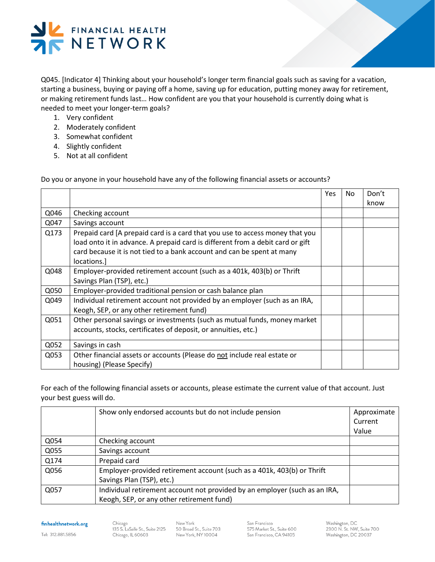

Q045. [Indicator 4] Thinking about your household's longer term financial goals such as saving for a vacation, starting a business, buying or paying off a home, saving up for education, putting money away for retirement, or making retirement funds last… How confident are you that your household is currently doing what is needed to meet your longer-term goals?

- 1. Very confident
- 2. Moderately confident
- 3. Somewhat confident
- 4. Slightly confident
- 5. Not at all confident

Do you or anyone in your household have any of the following financial assets or accounts?

|      |                                                                                | Yes | No. | Don't |
|------|--------------------------------------------------------------------------------|-----|-----|-------|
|      |                                                                                |     |     | know  |
| Q046 | Checking account                                                               |     |     |       |
| Q047 | Savings account                                                                |     |     |       |
| Q173 | Prepaid card [A prepaid card is a card that you use to access money that you   |     |     |       |
|      | load onto it in advance. A prepaid card is different from a debit card or gift |     |     |       |
|      | card because it is not tied to a bank account and can be spent at many         |     |     |       |
|      | locations.                                                                     |     |     |       |
| Q048 | Employer-provided retirement account (such as a 401k, 403(b) or Thrift         |     |     |       |
|      | Savings Plan (TSP), etc.)                                                      |     |     |       |
| Q050 | Employer-provided traditional pension or cash balance plan                     |     |     |       |
| Q049 | Individual retirement account not provided by an employer (such as an IRA,     |     |     |       |
|      | Keogh, SEP, or any other retirement fund)                                      |     |     |       |
| Q051 | Other personal savings or investments (such as mutual funds, money market      |     |     |       |
|      | accounts, stocks, certificates of deposit, or annuities, etc.)                 |     |     |       |
|      |                                                                                |     |     |       |
| Q052 | Savings in cash                                                                |     |     |       |
| Q053 | Other financial assets or accounts (Please do not include real estate or       |     |     |       |
|      | housing) (Please Specify)                                                      |     |     |       |

For each of the following financial assets or accounts, please estimate the current value of that account. Just your best guess will do.

|                                                                                                     | Current                                   |
|-----------------------------------------------------------------------------------------------------|-------------------------------------------|
|                                                                                                     | Value                                     |
| Checking account                                                                                    |                                           |
| Savings account                                                                                     |                                           |
| Prepaid card                                                                                        |                                           |
| Employer-provided retirement account (such as a 401k, 403(b) or Thrift<br>Savings Plan (TSP), etc.) |                                           |
| Individual retirement account not provided by an employer (such as an IRA,                          |                                           |
|                                                                                                     | Keogh, SEP, or any other retirement fund) |

finhealthnetwork.org

Tel: 312.881.5856

Washington, DC 2300 N. St. NW, Suite 700 Washington, DC 20037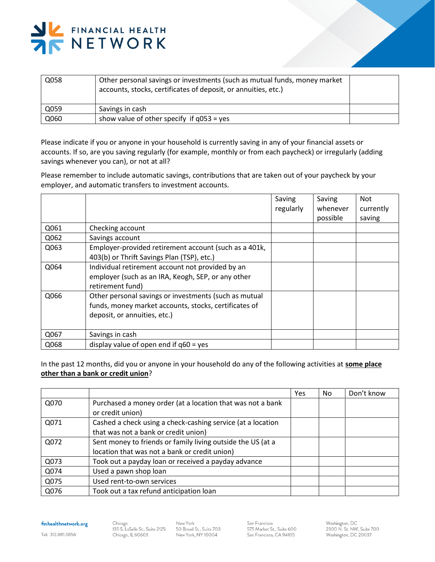

| Q058 | Other personal savings or investments (such as mutual funds, money market<br>accounts, stocks, certificates of deposit, or annuities, etc.) |  |
|------|---------------------------------------------------------------------------------------------------------------------------------------------|--|
| Q059 | Savings in cash                                                                                                                             |  |
| Q060 | show value of other specify if $q053 = yes$                                                                                                 |  |

Please indicate if you or anyone in your household is currently saving in any of your financial assets or accounts. If so, are you saving regularly (for example, monthly or from each paycheck) or irregularly (adding savings whenever you can), or not at all?

Please remember to include automatic savings, contributions that are taken out of your paycheck by your employer, and automatic transfers to investment accounts.

|      |                                                       | Saving<br>regularly | Saving<br>whenever<br>possible | <b>Not</b><br>currently<br>saving |
|------|-------------------------------------------------------|---------------------|--------------------------------|-----------------------------------|
| Q061 | Checking account                                      |                     |                                |                                   |
|      |                                                       |                     |                                |                                   |
| Q062 | Savings account                                       |                     |                                |                                   |
| Q063 | Employer-provided retirement account (such as a 401k, |                     |                                |                                   |
|      | 403(b) or Thrift Savings Plan (TSP), etc.)            |                     |                                |                                   |
| Q064 | Individual retirement account not provided by an      |                     |                                |                                   |
|      | employer (such as an IRA, Keogh, SEP, or any other    |                     |                                |                                   |
|      | retirement fund)                                      |                     |                                |                                   |
| Q066 | Other personal savings or investments (such as mutual |                     |                                |                                   |
|      | funds, money market accounts, stocks, certificates of |                     |                                |                                   |
|      | deposit, or annuities, etc.)                          |                     |                                |                                   |
|      |                                                       |                     |                                |                                   |
| Q067 | Savings in cash                                       |                     |                                |                                   |
| Q068 | display value of open end if $q60 = yes$              |                     |                                |                                   |

In the past 12 months, did you or anyone in your household do any of the following activities at **some place other than a bank or credit union**?

|      |                                                                                                              | Yes | No. | Don't know |
|------|--------------------------------------------------------------------------------------------------------------|-----|-----|------------|
| Q070 | Purchased a money order (at a location that was not a bank<br>or credit union)                               |     |     |            |
| Q071 | Cashed a check using a check-cashing service (at a location<br>that was not a bank or credit union)          |     |     |            |
| Q072 | Sent money to friends or family living outside the US (at a<br>location that was not a bank or credit union) |     |     |            |
| Q073 | Took out a payday loan or received a payday advance                                                          |     |     |            |
| Q074 | Used a pawn shop loan                                                                                        |     |     |            |
| Q075 | Used rent-to-own services                                                                                    |     |     |            |
| Q076 | Took out a tax refund anticipation loan                                                                      |     |     |            |

finhealthnetwork.org

 $Chicago$ 135 S. LaSalle St., Suite 2125 Chicago, IL 60603

New York 50 Broad St., Suite 703 New York, NY 10004

San Francisco 575 Market St., Suite 600 San Francisco, CA 94105

Washington, DC<br>2300 N. St. NW, Suite 700 Washington, DC 20037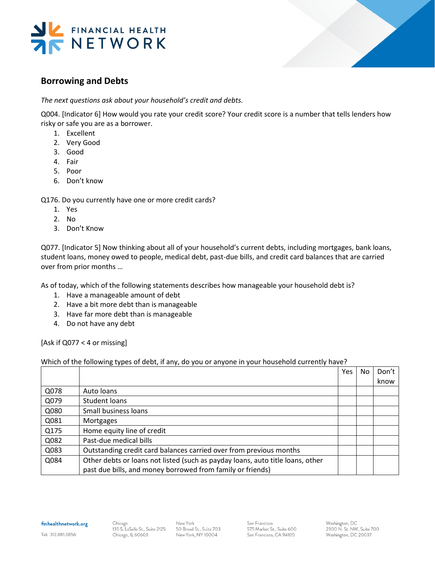



# **Borrowing and Debts**

*The next questions ask about your household's credit and debts.*

Q004. [Indicator 6] How would you rate your credit score? Your credit score is a number that tells lenders how risky or safe you are as a borrower.

- 1. Excellent
- 2. Very Good
- 3. Good
- 4. Fair
- 5. Poor
- 6. Don't know

Q176. Do you currently have one or more credit cards?

- 1. Yes
- 2. No
- 3. Don't Know

Q077. [Indicator 5] Now thinking about all of your household's current debts, including mortgages, bank loans, student loans, money owed to people, medical debt, past-due bills, and credit card balances that are carried over from prior months …

As of today, which of the following statements describes how manageable your household debt is?

- 1. Have a manageable amount of debt
- 2. Have a bit more debt than is manageable
- 3. Have far more debt than is manageable
- 4. Do not have any debt

[Ask if Q077 < 4 or missing]

## Which of the following types of debt, if any, do you or anyone in your household currently have?

|      |                                                                                | Yes | No. | Don't |
|------|--------------------------------------------------------------------------------|-----|-----|-------|
|      |                                                                                |     |     | know  |
| Q078 | Auto loans                                                                     |     |     |       |
| Q079 | Student loans                                                                  |     |     |       |
| Q080 | Small business loans                                                           |     |     |       |
| Q081 | Mortgages                                                                      |     |     |       |
| Q175 | Home equity line of credit                                                     |     |     |       |
| Q082 | Past-due medical bills                                                         |     |     |       |
| Q083 | Outstanding credit card balances carried over from previous months             |     |     |       |
| Q084 | Other debts or loans not listed (such as payday loans, auto title loans, other |     |     |       |
|      | past due bills, and money borrowed from family or friends)                     |     |     |       |

finhealthnetwork.org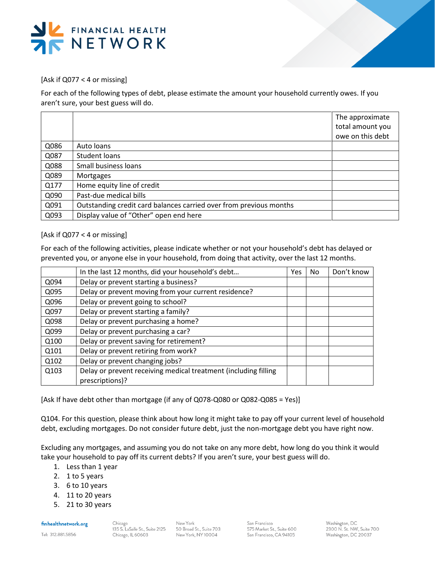



[Ask if Q077 < 4 or missing]

For each of the following types of debt, please estimate the amount your household currently owes. If you aren't sure, your best guess will do.

|      |                                                                    | The approximate  |
|------|--------------------------------------------------------------------|------------------|
|      |                                                                    | total amount you |
|      |                                                                    | owe on this debt |
| Q086 | Auto loans                                                         |                  |
| Q087 | Student loans                                                      |                  |
| Q088 | Small business loans                                               |                  |
| Q089 | Mortgages                                                          |                  |
| Q177 | Home equity line of credit                                         |                  |
| Q090 | Past-due medical bills                                             |                  |
| Q091 | Outstanding credit card balances carried over from previous months |                  |
| Q093 | Display value of "Other" open end here                             |                  |

## [Ask if Q077 < 4 or missing]

For each of the following activities, please indicate whether or not your household's debt has delayed or prevented you, or anyone else in your household, from doing that activity, over the last 12 months.

|      | In the last 12 months, did your household's debt                | <b>Yes</b> | No. | Don't know |
|------|-----------------------------------------------------------------|------------|-----|------------|
| Q094 | Delay or prevent starting a business?                           |            |     |            |
| Q095 | Delay or prevent moving from your current residence?            |            |     |            |
| Q096 | Delay or prevent going to school?                               |            |     |            |
| Q097 | Delay or prevent starting a family?                             |            |     |            |
| Q098 | Delay or prevent purchasing a home?                             |            |     |            |
| Q099 | Delay or prevent purchasing a car?                              |            |     |            |
| Q100 | Delay or prevent saving for retirement?                         |            |     |            |
| Q101 | Delay or prevent retiring from work?                            |            |     |            |
| Q102 | Delay or prevent changing jobs?                                 |            |     |            |
| Q103 | Delay or prevent receiving medical treatment (including filling |            |     |            |
|      | prescriptions)?                                                 |            |     |            |

[Ask If have debt other than mortgage (if any of Q078-Q080 or Q082-Q085 = Yes)]

Q104. For this question, please think about how long it might take to pay off your current level of household debt, excluding mortgages. Do not consider future debt, just the non-mortgage debt you have right now.

Excluding any mortgages, and assuming you do not take on any more debt, how long do you think it would take your household to pay off its current debts? If you aren't sure, your best guess will do.

- 1. Less than 1 year
- 2. 1 to 5 years
- 3. 6 to 10 years
- 4. 11 to 20 years
- 5. 21 to 30 years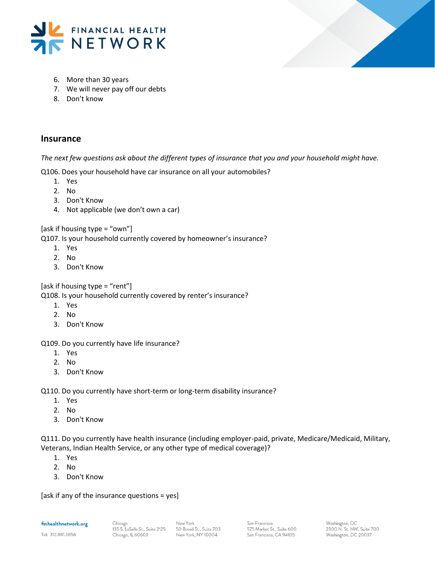



- 6. More than 30 years
- 7. We will never pay off our debts
- 8. Don't know

## **Insurance**

*The next few questions ask about the different types of insurance that you and your household might have.* 

Q106. Does your household have car insurance on all your automobiles?

- 1. Yes
- 2. No
- 3. Don't Know
- 4. Not applicable (we don't own a car)

[ask if housing type = "own"]

Q107. Is your household currently covered by homeowner's insurance?

- 1. Yes
- 2. No
- 3. Don't Know

[ask if housing type = "rent"]

Q108. Is your household currently covered by renter's insurance?

- 1. Yes
- 2. No
- 3. Don't Know

Q109. Do you currently have life insurance?

- 1. Yes
- 2. No
- 3. Don't Know

Q110. Do you currently have short-term or long-term disability insurance?

- 1. Yes
- 2. No
- 3. Don't Know

Q111. Do you currently have health insurance (including employer-paid, private, Medicare/Medicaid, Military, Veterans, Indian Health Service, or any other type of medical coverage)?

- 1. Yes
- 2. No
- 3. Don't Know

[ask if any of the insurance questions = yes]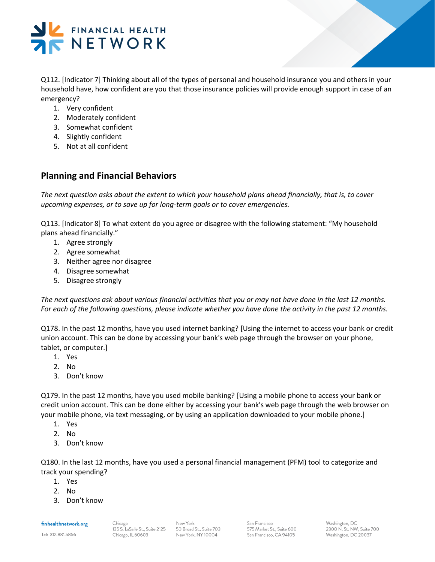

Q112. [Indicator 7] Thinking about all of the types of personal and household insurance you and others in your household have, how confident are you that those insurance policies will provide enough support in case of an emergency?

- 1. Very confident
- 2. Moderately confident
- 3. Somewhat confident
- 4. Slightly confident
- 5. Not at all confident

# **Planning and Financial Behaviors**

*The next question asks about the extent to which your household plans ahead financially, that is, to cover upcoming expenses, or to save up for long-term goals or to cover emergencies.* 

Q113. [Indicator 8] To what extent do you agree or disagree with the following statement: "My household plans ahead financially."

- 1. Agree strongly
- 2. Agree somewhat
- 3. Neither agree nor disagree
- 4. Disagree somewhat
- 5. Disagree strongly

*The next questions ask about various financial activities that you or may not have done in the last 12 months. For each of the following questions, please indicate whether you have done the activity in the past 12 months.*

Q178. In the past 12 months, have you used internet banking? [Using the internet to access your bank or credit union account. This can be done by accessing your bank's web page through the browser on your phone, tablet, or computer.]

- 1. Yes
- 2. No
- 3. Don't know

Q179. In the past 12 months, have you used mobile banking? [Using a mobile phone to access your bank or credit union account. This can be done either by accessing your bank's web page through the web browser on your mobile phone, via text messaging, or by using an application downloaded to your mobile phone.]

- 1. Yes
- 2. No
- 3. Don't know

Q180. In the last 12 months, have you used a personal financial management (PFM) tool to categorize and track your spending?

- 1. Yes
- 2. No
- 3. Don't know

finhealthnetwork.org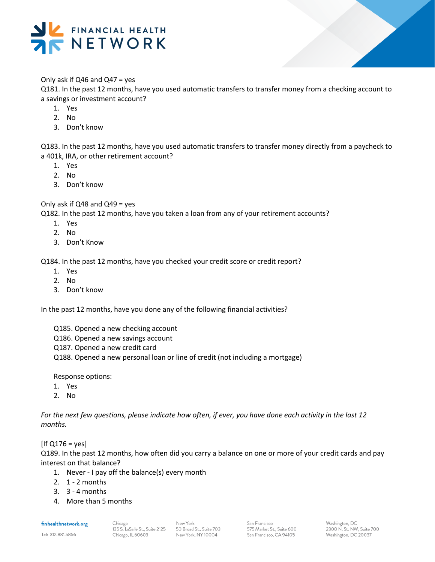

## Only ask if Q46 and Q47 = yes

Q181. In the past 12 months, have you used automatic transfers to transfer money from a checking account to a savings or investment account?

- 1. Yes
- 2. No
- 3. Don't know

Q183. In the past 12 months, have you used automatic transfers to transfer money directly from a paycheck to a 401k, IRA, or other retirement account?

- 1. Yes
- 2. No
- 3. Don't know

Only ask if  $Q48$  and  $Q49$  = yes

Q182. In the past 12 months, have you taken a loan from any of your retirement accounts?

- 1. Yes
- 2. No
- 3. Don't Know

Q184. In the past 12 months, have you checked your credit score or credit report?

- 1. Yes
- 2. No
- 3. Don't know

In the past 12 months, have you done any of the following financial activities?

- Q185. Opened a new checking account
- Q186. Opened a new savings account
- Q187. Opened a new credit card
- Q188. Opened a new personal loan or line of credit (not including a mortgage)

Response options:

- 1. Yes
- 2. No

*For the next few questions, please indicate how often, if ever, you have done each activity in the last 12 months.* 

 $[If Q176 = yes]$ 

Q189. In the past 12 months, how often did you carry a balance on one or more of your credit cards and pay interest on that balance?

- 1. Never I pay off the balance(s) every month
- 2. 1 2 months
- 3. 3 4 months
- 4. More than 5 months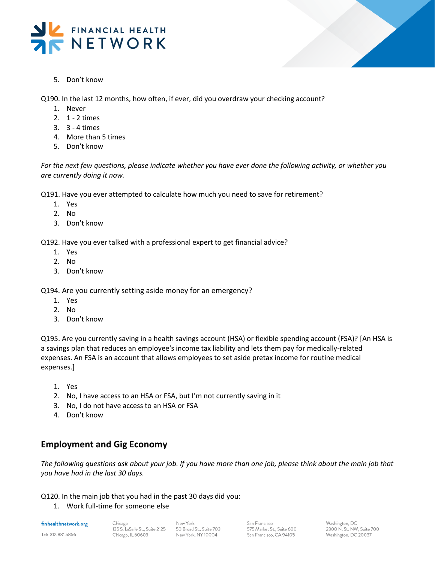



5. Don't know

Q190. In the last 12 months, how often, if ever, did you overdraw your checking account?

- 1. Never
- 2. 1 2 times
- 3. 3 4 times
- 4. More than 5 times
- 5. Don't know

*For the next few questions, please indicate whether you have ever done the following activity, or whether you are currently doing it now.* 

Q191. Have you ever attempted to calculate how much you need to save for retirement?

- 1. Yes
- 2. No
- 3. Don't know

Q192. Have you ever talked with a professional expert to get financial advice?

- 1. Yes
- 2. No
- 3. Don't know

Q194. Are you currently setting aside money for an emergency?

- 1. Yes
- 2. No
- 3. Don't know

Q195. Are you currently saving in a health savings account (HSA) or flexible spending account (FSA)? [An HSA is a savings plan that reduces an employee's income tax liability and lets them pay for medically-related expenses. An FSA is an account that allows employees to set aside pretax income for routine medical expenses.]

- 1. Yes
- 2. No, I have access to an HSA or FSA, but I'm not currently saving in it
- 3. No, I do not have access to an HSA or FSA
- 4. Don't know

# **Employment and Gig Economy**

*The following questions ask about your job. If you have more than one job, please think about the main job that you have had in the last 30 days.* 

Q120. In the main job that you had in the past 30 days did you:

1. Work full-time for someone else

finhealthnetwork.org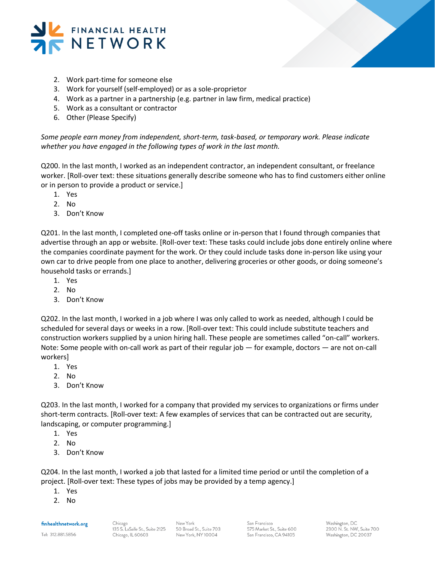



- 2. Work part-time for someone else
- 3. Work for yourself (self-employed) or as a sole-proprietor
- 4. Work as a partner in a partnership (e.g. partner in law firm, medical practice)
- 5. Work as a consultant or contractor
- 6. Other (Please Specify)

*Some people earn money from independent, short-term, task-based, or temporary work. Please indicate whether you have engaged in the following types of work in the last month.*

Q200. In the last month, I worked as an independent contractor, an independent consultant, or freelance worker. [Roll-over text: these situations generally describe someone who has to find customers either online or in person to provide a product or service.]

- 1. Yes
- 2. No
- 3. Don't Know

Q201. In the last month, I completed one-off tasks online or in-person that I found through companies that advertise through an app or website. [Roll-over text: These tasks could include jobs done entirely online where the companies coordinate payment for the work. Or they could include tasks done in-person like using your own car to drive people from one place to another, delivering groceries or other goods, or doing someone's household tasks or errands.]

- 1. Yes
- 2. No
- 3. Don't Know

Q202. In the last month, I worked in a job where I was only called to work as needed, although I could be scheduled for several days or weeks in a row. [Roll-over text: This could include substitute teachers and construction workers supplied by a union hiring hall. These people are sometimes called "on-call" workers. Note: Some people with on-call work as part of their regular job — for example, doctors — are not on-call workers]

- 1. Yes
- 2. No
- 3. Don't Know

Q203. In the last month, I worked for a company that provided my services to organizations or firms under short-term contracts. [Roll-over text: A few examples of services that can be contracted out are security, landscaping, or computer programming.]

- 1. Yes
- 2. No
- 3. Don't Know

Q204. In the last month, I worked a job that lasted for a limited time period or until the completion of a project. [Roll-over text: These types of jobs may be provided by a temp agency.]

- 1. Yes
- 2. No

finhealthnetwork.org

Tel: 312.881.5856

San Francisco 575 Market St., Suite 600 San Francisco, CA 94105

Washington, DC 2300 N. St. NW. Suite 700 Washington, DC 20037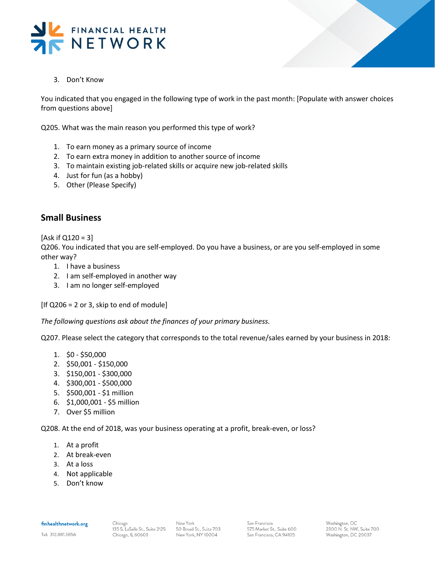



3. Don't Know

You indicated that you engaged in the following type of work in the past month: [Populate with answer choices from questions above]

Q205. What was the main reason you performed this type of work?

- 1. To earn money as a primary source of income
- 2. To earn extra money in addition to another source of income
- 3. To maintain existing job-related skills or acquire new job-related skills
- 4. Just for fun (as a hobby)
- 5. Other (Please Specify)

## **Small Business**

 $[Ask if Q120 = 3]$ 

Q206. You indicated that you are self-employed. Do you have a business, or are you self-employed in some other way?

- 1. I have a business
- 2. I am self-employed in another way
- 3. I am no longer self-employed

 $[$ If Q206 = 2 or 3, skip to end of module $]$ 

*The following questions ask about the finances of your primary business.*

Q207. Please select the category that corresponds to the total revenue/sales earned by your business in 2018:

- 1. \$0 \$50,000
- 2. \$50,001 \$150,000
- 3. \$150,001 \$300,000
- 4. \$300,001 \$500,000
- 5. \$500,001 \$1 million
- 6. \$1,000,001 \$5 million
- 7. Over \$5 million

Q208. At the end of 2018, was your business operating at a profit, break-even, or loss?

- 1. At a profit
- 2. At break-even
- 3. At a loss
- 4. Not applicable
- 5. Don't know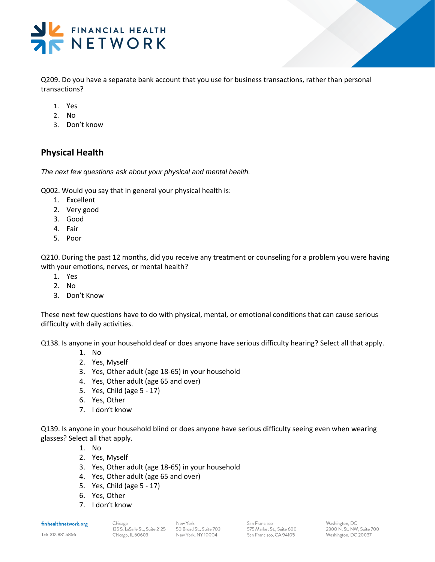

Q209. Do you have a separate bank account that you use for business transactions, rather than personal transactions?

- 1. Yes
- 2. No
- 3. Don't know

# **Physical Health**

*The next few questions ask about your physical and mental health.*

Q002. Would you say that in general your physical health is:

- 1. Excellent
- 2. Very good
- 3. Good
- 4. Fair
- 5. Poor

Q210. During the past 12 months, did you receive any treatment or counseling for a problem you were having with your emotions, nerves, or mental health?

- 1. Yes
- 2. No
- 3. Don't Know

These next few questions have to do with physical, mental, or emotional conditions that can cause serious difficulty with daily activities.

Q138. Is anyone in your household deaf or does anyone have serious difficulty hearing? Select all that apply.

- 1. No
- 2. Yes, Myself
- 3. Yes, Other adult (age 18-65) in your household
- 4. Yes, Other adult (age 65 and over)
- 5. Yes, Child (age 5 17)
- 6. Yes, Other
- 7. I don't know

Q139. Is anyone in your household blind or does anyone have serious difficulty seeing even when wearing glasses? Select all that apply.

- 1. No
- 2. Yes, Myself
- 3. Yes, Other adult (age 18-65) in your household
- 4. Yes, Other adult (age 65 and over)
- 5. Yes, Child (age 5 17)
- 6. Yes, Other
- 7. I don't know

finhealthnetwork.org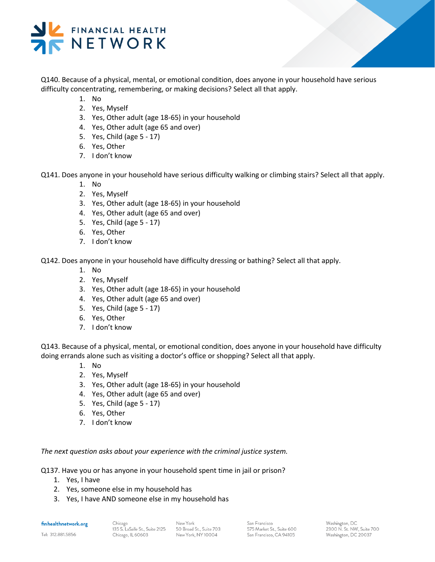

Q140. Because of a physical, mental, or emotional condition, does anyone in your household have serious difficulty concentrating, remembering, or making decisions? Select all that apply.

- 1. No
- 2. Yes, Myself
- 3. Yes, Other adult (age 18-65) in your household
- 4. Yes, Other adult (age 65 and over)
- 5. Yes, Child (age 5 17)
- 6. Yes, Other
- 7. I don't know

Q141. Does anyone in your household have serious difficulty walking or climbing stairs? Select all that apply.

- 1. No
- 2. Yes, Myself
- 3. Yes, Other adult (age 18-65) in your household
- 4. Yes, Other adult (age 65 and over)
- 5. Yes, Child (age 5 17)
- 6. Yes, Other
- 7. I don't know

Q142. Does anyone in your household have difficulty dressing or bathing? Select all that apply.

- 1. No
- 2. Yes, Myself
- 3. Yes, Other adult (age 18-65) in your household
- 4. Yes, Other adult (age 65 and over)
- 5. Yes, Child (age 5 17)
- 6. Yes, Other
- 7. I don't know

Q143. Because of a physical, mental, or emotional condition, does anyone in your household have difficulty doing errands alone such as visiting a doctor's office or shopping? Select all that apply.

- 1. No
- 2. Yes, Myself
- 3. Yes, Other adult (age 18-65) in your household
- 4. Yes, Other adult (age 65 and over)
- 5. Yes, Child (age 5 17)
- 6. Yes, Other
- 7. I don't know

*The next question asks about your experience with the criminal justice system.*

Q137. Have you or has anyone in your household spent time in jail or prison?

- 1. Yes, I have
- 2. Yes, someone else in my household has
- 3. Yes, I have AND someone else in my household has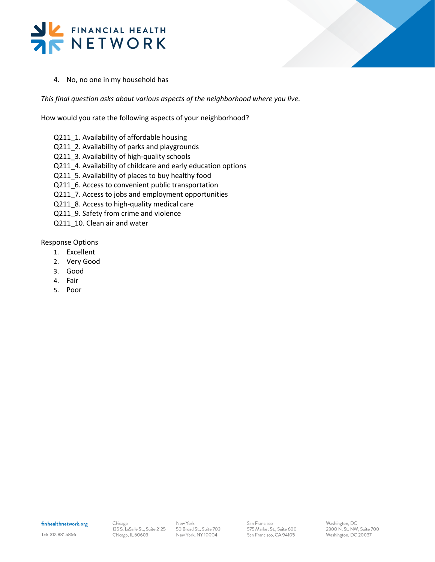



4. No, no one in my household has

*This final question asks about various aspects of the neighborhood where you live.* 

How would you rate the following aspects of your neighborhood?

- Q211\_1. Availability of affordable housing
- Q211\_2. Availability of parks and playgrounds
- Q211\_3. Availability of high-quality schools
- Q211\_4. Availability of childcare and early education options
- Q211\_5. Availability of places to buy healthy food
- Q211\_6. Access to convenient public transportation
- Q211\_7. Access to jobs and employment opportunities
- Q211\_8. Access to high-quality medical care
- Q211\_9. Safety from crime and violence
- Q211\_10. Clean air and water

Response Options

- 1. Excellent
- 2. Very Good
- 3. Good
- 4. Fair
- 5. Poor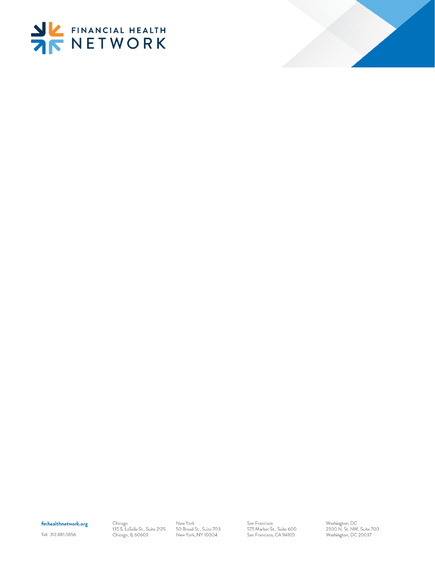



## finhealthnetwork.org

Tel: 312.881.5856

Chicago<br>135 S. LaSalle St., Suite 2125 Chicago, IL 60603

New York 50 Broad St., Suite 703 New York, NY 10004

San Francisco 575 Market St., Suite 600 San Francisco, CA 94105

Washington, DC<br>2300 N. St. NW, Suite 700<br>Washington, DC 20037